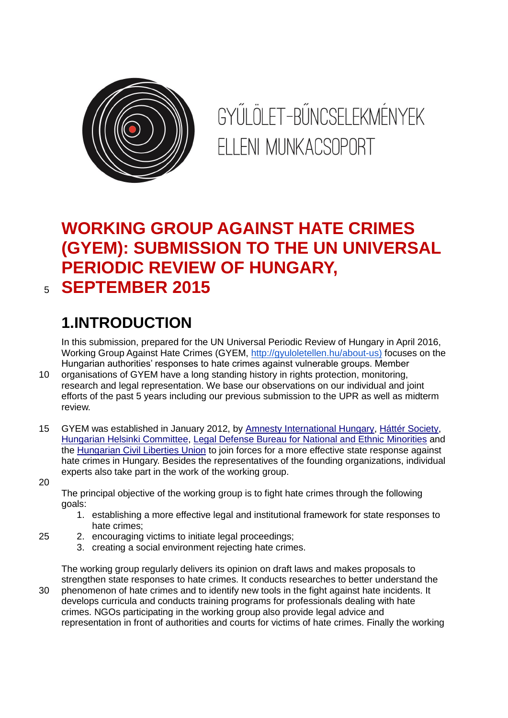

GYŰLÖLET-BŰNCSELEKMÉNYEK FILENI MUNKACSOPORT

# **WORKING GROUP AGAINST HATE CRIMES (GYEM): SUBMISSION TO THE UN UNIVERSAL PERIODIC REVIEW OF HUNGARY,**  <sup>5</sup> **SEPTEMBER 2015**

# **1.INTRODUCTION**

In this submission, prepared for the UN Universal Periodic Review of Hungary in April 2016, Working Group Against Hate Crimes (GYEM, [http://gyuloletellen.hu/about-us\)](http://gyuloletellen.hu/about-us) focuses on the Hungarian authorities' responses to hate crimes against vulnerable groups. Member

- 10 organisations of GYEM have a long standing history in rights protection, monitoring, research and legal representation. We base our observations on our individual and joint efforts of the past 5 years including our previous submission to the UPR as well as midterm review.
- 15 GYEM was established in January 2012, by [Amnesty International Hungary,](http://www.amnesty.hu/) [Háttér Society,](http://hatter.hu/) [Hungarian Helsinki Committee,](http://helsinki.hu/) [Legal Defense Bureau for National and Ethnic](http://neki.hu/) Minorities and the [Hungarian Civil Liberties Union](http://tasz.hu/) to join forces for a more effective state response against hate crimes in Hungary. Besides the representatives of the founding organizations, individual experts also take part in the work of the working group.

20

The principal objective of the working group is to fight hate crimes through the following goals:

- 1. establishing a more effective legal and institutional framework for state responses to hate crimes;
- 25 2. encouraging victims to initiate legal proceedings;
	- 3. creating a social environment rejecting hate crimes.

The working group regularly delivers its opinion on draft laws and makes proposals to strengthen state responses to hate crimes. It conducts researches to better understand the

30 phenomenon of hate crimes and to identify new tools in the fight against hate incidents. It develops curricula and conducts training programs for professionals dealing with hate crimes. NGOs participating in the working group also provide legal advice and representation in front of authorities and courts for victims of hate crimes. Finally the working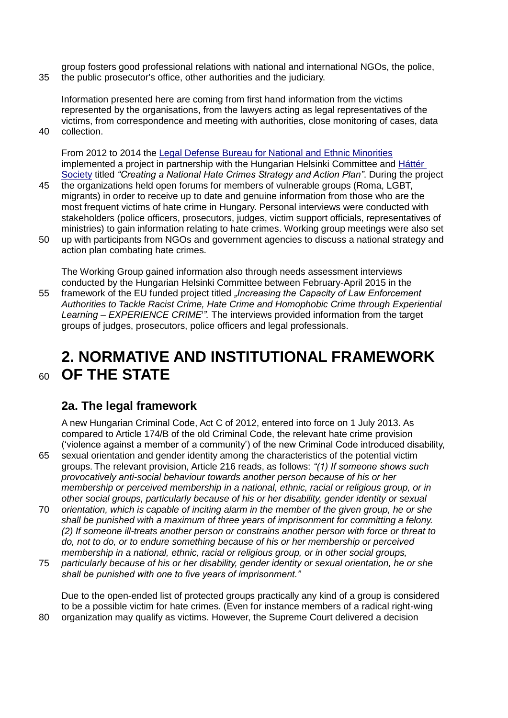group fosters good professional relations with national and international NGOs, the police, 35 the public prosecutor's office, other authorities and the judiciary.

Information presented here are coming from first hand information from the victims represented by the organisations, from the lawyers acting as legal representatives of the victims, from correspondence and meeting with authorities, close monitoring of cases, data

40 collection.

From 2012 to 2014 the [Legal Defense Bureau for National and Ethnic Minorities](http://neki.hu/) implemented a project in partnership with the Hungarian Helsinki Committee and [Háttér](http://hatter.hu/)  [Society](http://hatter.hu/) titled *"Creating a National Hate Crimes Strategy and Action Plan"*. During the project

- 45 the organizations held open forums for members of vulnerable groups (Roma, LGBT, migrants) in order to receive up to date and genuine information from those who are the most frequent victims of hate crime in Hungary. Personal interviews were conducted with stakeholders (police officers, prosecutors, judges, victim support officials, representatives of ministries) to gain information relating to hate crimes. Working group meetings were also set
- 50 up with participants from NGOs and government agencies to discuss a national strategy and action plan combating hate crimes.

The Working Group gained information also through needs assessment interviews conducted by the Hungarian Helsinki Committee between February-April 2015 in the 55 framework of the EU funded project titled *"Increasing the Capacity of Law Enforcement Authorities to Tackle Racist Crime, Hate Crime and Homophobic Crime through Experiential*  Learning - EXPERIENCE CRIME<sup>*i*</sup>. The interviews provided information from the target groups of judges, prosecutors, police officers and legal professionals.

# **2. NORMATIVE AND INSTITUTIONAL FRAMEWORK**  <sup>60</sup> **OF THE STATE**

# **2a. The legal framework**

A new Hungarian Criminal Code, Act C of 2012, entered into force on 1 July 2013. As compared to Article 174/B of the old Criminal Code, the relevant hate crime provision ('violence against a member of a community') of the new Criminal Code introduced disability,

65 sexual orientation and gender identity among the characteristics of the potential victim groups. The relevant provision, Article 216 reads, as follows: *"(1) If someone shows such provocatively anti-social behaviour towards another person because of his or her membership or perceived membership in a national, ethnic, racial or religious group, or in other social groups, particularly because of his or her disability, gender identity or sexual* 

- 70 *orientation, which is capable of inciting alarm in the member of the given group, he or she shall be punished with a maximum of three years of imprisonment for committing a felony. (2) If someone ill-treats another person or constrains another person with force or threat to do, not to do, or to endure something because of his or her membership or perceived membership in a national, ethnic, racial or religious group, or in other social groups,*
- 75 *particularly because of his or her disability, gender identity or sexual orientation, he or she shall be punished with one to five years of imprisonment."*

Due to the open-ended list of protected groups practically any kind of a group is considered to be a possible victim for hate crimes. (Even for instance members of a radical right-wing 80 organization may qualify as victims. However, the Supreme Court delivered a decision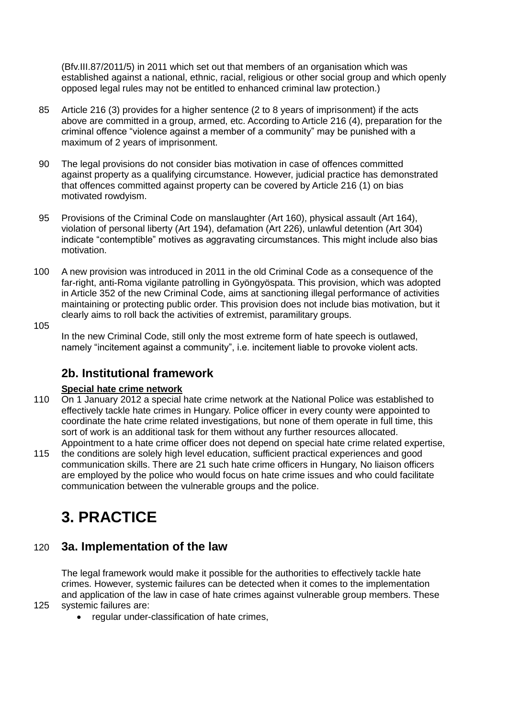(Bfv.III.87/2011/5) in 2011 which set out that members of an organisation which was established against a national, ethnic, racial, religious or other social group and which openly opposed legal rules may not be entitled to enhanced criminal law protection.)

- 85 Article 216 (3) provides for a higher sentence (2 to 8 years of imprisonment) if the acts above are committed in a group, armed, etc. According to Article 216 (4), preparation for the criminal offence "violence against a member of a community" may be punished with a maximum of 2 years of imprisonment.
- 90 The legal provisions do not consider bias motivation in case of offences committed against property as a qualifying circumstance. However, judicial practice has demonstrated that offences committed against property can be covered by Article 216 (1) on bias motivated rowdyism.
- 95 Provisions of the Criminal Code on manslaughter (Art 160), physical assault (Art 164), violation of personal liberty (Art 194), defamation (Art 226), unlawful detention (Art 304) indicate "contemptible" motives as aggravating circumstances. This might include also bias motivation.
- 100 A new provision was introduced in 2011 in the old Criminal Code as a consequence of the far-right, anti-Roma vigilante patrolling in Gyöngyöspata. This provision, which was adopted in Article 352 of the new Criminal Code, aims at sanctioning illegal performance of activities maintaining or protecting public order. This provision does not include bias motivation, but it clearly aims to roll back the activities of extremist, paramilitary groups.
- 105

In the new Criminal Code, still only the most extreme form of hate speech is outlawed, namely "incitement against a community", i.e. incitement liable to provoke violent acts.

# **2b. Institutional framework**

## **Special hate crime network**

- 110 On 1 January 2012 a special hate crime network at the National Police was established to effectively tackle hate crimes in Hungary. Police officer in every county were appointed to coordinate the hate crime related investigations, but none of them operate in full time, this sort of work is an additional task for them without any further resources allocated. Appointment to a hate crime officer does not depend on special hate crime related expertise,
- 115 the conditions are solely high level education, sufficient practical experiences and good communication skills. There are 21 such hate crime officers in Hungary, No liaison officers are employed by the police who would focus on hate crime issues and who could facilitate communication between the vulnerable groups and the police.

# **3. PRACTICE**

# 120 **3a. Implementation of the law**

The legal framework would make it possible for the authorities to effectively tackle hate crimes. However, systemic failures can be detected when it comes to the implementation and application of the law in case of hate crimes against vulnerable group members. These

- 125 systemic failures are:
	- regular under-classification of hate crimes,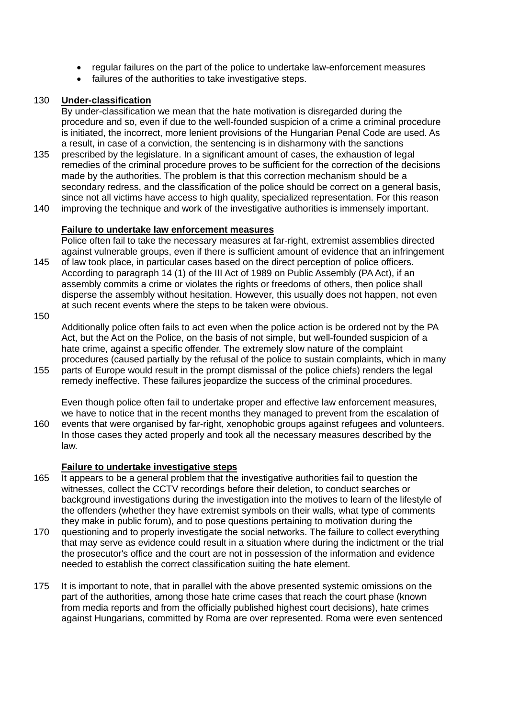- regular failures on the part of the police to undertake law-enforcement measures
- failures of the authorities to take investigative steps.

#### 130 **Under-classification**

By under-classification we mean that the hate motivation is disregarded during the procedure and so, even if due to the well-founded suspicion of a crime a criminal procedure is initiated, the incorrect, more lenient provisions of the Hungarian Penal Code are used. As a result, in case of a conviction, the sentencing is in disharmony with the sanctions

- 135 prescribed by the legislature. In a significant amount of cases, the exhaustion of legal remedies of the criminal procedure proves to be sufficient for the correction of the decisions made by the authorities. The problem is that this correction mechanism should be a secondary redress, and the classification of the police should be correct on a general basis, since not all victims have access to high quality, specialized representation. For this reason
- 140 improving the technique and work of the investigative authorities is immensely important.

#### **Failure to undertake law enforcement measures**

Police often fail to take the necessary measures at far-right, extremist assemblies directed against vulnerable groups, even if there is sufficient amount of evidence that an infringement

- 145 of law took place, in particular cases based on the direct perception of police officers. According to paragraph 14 (1) of the III Act of 1989 on Public Assembly (PA Act), if an assembly commits a crime or violates the rights or freedoms of others, then police shall disperse the assembly without hesitation. However, this usually does not happen, not even at such recent events where the steps to be taken were obvious.
- 150

Additionally police often fails to act even when the police action is be ordered not by the PA Act, but the Act on the Police, on the basis of not simple, but well-founded suspicion of a hate crime, against a specific offender. The extremely slow nature of the complaint procedures (caused partially by the refusal of the police to sustain complaints, which in many

155 parts of Europe would result in the prompt dismissal of the police chiefs) renders the legal remedy ineffective. These failures jeopardize the success of the criminal procedures.

Even though police often fail to undertake proper and effective law enforcement measures, we have to notice that in the recent months they managed to prevent from the escalation of 160 events that were organised by far-right, xenophobic groups against refugees and volunteers.

In those cases they acted properly and took all the necessary measures described by the law.

#### **Failure to undertake investigative steps**

- 165 It appears to be a general problem that the investigative authorities fail to question the witnesses, collect the CCTV recordings before their deletion, to conduct searches or background investigations during the investigation into the motives to learn of the lifestyle of the offenders (whether they have extremist symbols on their walls, what type of comments they make in public forum), and to pose questions pertaining to motivation during the
- 170 questioning and to properly investigate the social networks. The failure to collect everything that may serve as evidence could result in a situation where during the indictment or the trial the prosecutor's office and the court are not in possession of the information and evidence needed to establish the correct classification suiting the hate element.
- 175 It is important to note, that in parallel with the above presented systemic omissions on the part of the authorities, among those hate crime cases that reach the court phase (known from media reports and from the officially published highest court decisions), hate crimes against Hungarians, committed by Roma are over represented. Roma were even sentenced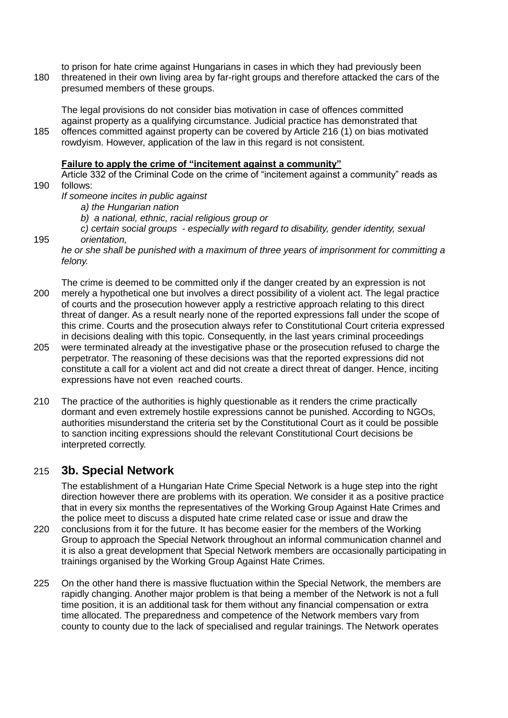to prison for hate crime against Hungarians in cases in which they had previously been 180 threatened in their own living area by far-right groups and therefore attacked the cars of the presumed members of these groups.

The legal provisions do not consider bias motivation in case of offences committed against property as a qualifying circumstance. Judicial practice has demonstrated that 185 offences committed against property can be covered by Article 216 (1) on bias motivated rowdyism. However, application of the law in this regard is not consistent.

#### **Failure to apply the crime of "incitement against a community"**

Article 332 of the Criminal Code on the crime of "incitement against a community" reads as 190 follows:

*If someone incites in public against* 

- *a) the Hungarian nation*
- *b) a national, ethnic, racial religious group or*
- *c) certain social groups - especially with regard to disability, gender identity, sexual*  195 *orientation,*

- The crime is deemed to be committed only if the danger created by an expression is not 200 merely a hypothetical one but involves a direct possibility of a violent act. The legal practice of courts and the prosecution however apply a restrictive approach relating to this direct threat of danger. As a result nearly none of the reported expressions fall under the scope of this crime. Courts and the prosecution always refer to Constitutional Court criteria expressed in decisions dealing with this topic. Consequently, in the last years criminal proceedings
- 205 were terminated already at the investigative phase or the prosecution refused to charge the perpetrator. The reasoning of these decisions was that the reported expressions did not constitute a call for a violent act and did not create a direct threat of danger. Hence, inciting expressions have not even reached courts.
- 210 The practice of the authorities is highly questionable as it renders the crime practically dormant and even extremely hostile expressions cannot be punished. According to NGOs, authorities misunderstand the criteria set by the Constitutional Court as it could be possible to sanction inciting expressions should the relevant Constitutional Court decisions be interpreted correctly.

## <span id="page-4-0"></span>215 **3b. Special Network**

The establishment of a Hungarian Hate Crime Special Network is a huge step into the right direction however there are problems with its operation. We consider it as a positive practice that in every six months the representatives of the Working Group Against Hate Crimes and the police meet to discuss a disputed hate crime related case or issue and draw the

- 220 conclusions from it for the future. It has become easier for the members of the Working Group to approach the Special Network throughout an informal communication channel and it is also a great development that Special Network members are occasionally participating in trainings organised by the Working Group Against Hate Crimes.
- 225 On the other hand there is massive fluctuation within the Special Network, the members are rapidly changing. Another major problem is that being a member of the Network is not a full time position, it is an additional task for them without any financial compensation or extra time allocated. The preparedness and competence of the Network members vary from county to county due to the lack of specialised and regular trainings. The Network operates

*he or she shall be punished with a maximum of three years of imprisonment for committing a felony.*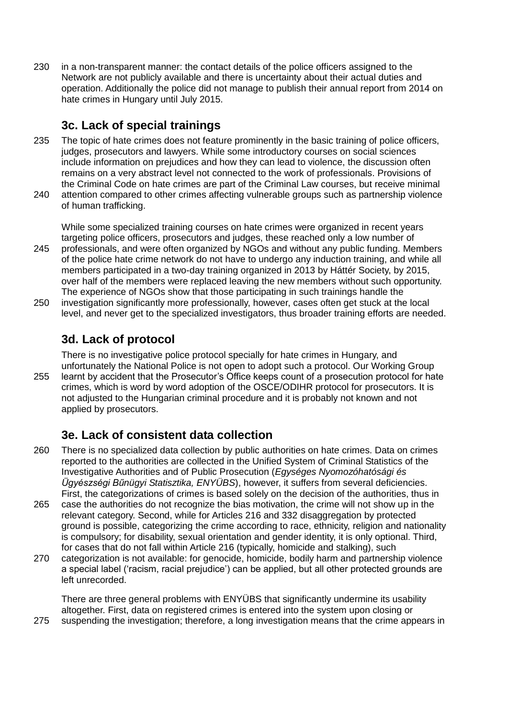230 in a non-transparent manner: the contact details of the police officers assigned to the Network are not publicly available and there is uncertainty about their actual duties and operation. Additionally the police did not manage to publish their annual report from 2014 on hate crimes in Hungary until July 2015.

# **3c. Lack of special trainings**

- 235 The topic of hate crimes does not feature prominently in the basic training of police officers, judges, prosecutors and lawyers. While some introductory courses on social sciences include information on prejudices and how they can lead to violence, the discussion often remains on a very abstract level not connected to the work of professionals. Provisions of the Criminal Code on hate crimes are part of the Criminal Law courses, but receive minimal
- 240 attention compared to other crimes affecting vulnerable groups such as partnership violence of human trafficking.

While some specialized training courses on hate crimes were organized in recent years targeting police officers, prosecutors and judges, these reached only a low number of

- 245 professionals, and were often organized by NGOs and without any public funding. Members of the police hate crime network do not have to undergo any induction training, and while all members participated in a two-day training organized in 2013 by Háttér Society, by 2015, over half of the members were replaced leaving the new members without such opportunity. The experience of NGOs show that those participating in such trainings handle the
- 250 investigation significantly more professionally, however, cases often get stuck at the local level, and never get to the specialized investigators, thus broader training efforts are needed.

# **3d. Lack of protocol**

There is no investigative police protocol specially for hate crimes in Hungary, and unfortunately the National Police is not open to adopt such a protocol. Our Working Group 255 learnt by accident that the Prosecutor's Office keeps count of a prosecution protocol for hate crimes, which is word by word adoption of the OSCE/ODIHR protocol for prosecutors. It is not adjusted to the Hungarian criminal procedure and it is probably not known and not applied by prosecutors.

# **3e. Lack of consistent data collection**

- 260 There is no specialized data collection by public authorities on hate crimes. Data on crimes reported to the authorities are collected in the Unified System of Criminal Statistics of the Investigative Authorities and of Public Prosecution (*Egységes Nyomozóhatósági és Ügyészségi Bűnügyi Statisztika, ENYÜBS*), however, it suffers from several deficiencies. First, the categorizations of crimes is based solely on the decision of the authorities, thus in
- 265 case the authorities do not recognize the bias motivation, the crime will not show up in the relevant category. Second, while for Articles 216 and 332 disaggregation by protected ground is possible, categorizing the crime according to race, ethnicity, religion and nationality is compulsory; for disability, sexual orientation and gender identity, it is only optional. Third, for cases that do not fall within Article 216 (typically, homicide and stalking), such
- 270 categorization is not available: for genocide, homicide, bodily harm and partnership violence a special label ('racism, racial prejudice') can be applied, but all other protected grounds are left unrecorded.

There are three general problems with ENYÜBS that significantly undermine its usability altogether. First, data on registered crimes is entered into the system upon closing or

275 suspending the investigation; therefore, a long investigation means that the crime appears in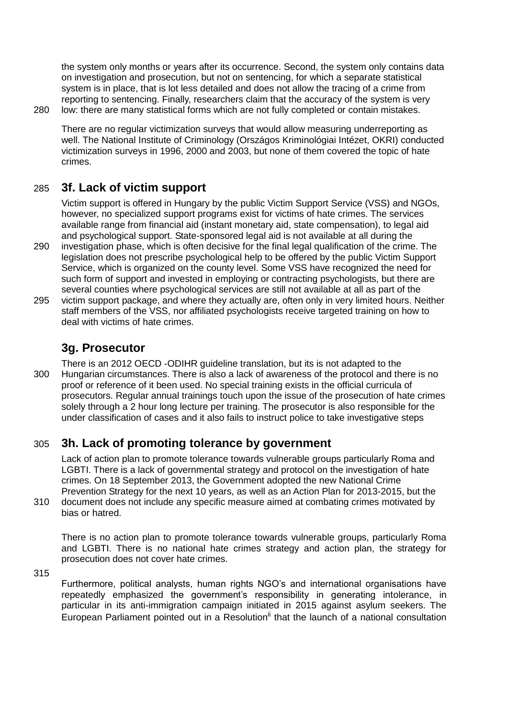the system only months or years after its occurrence. Second, the system only contains data on investigation and prosecution, but not on sentencing, for which a separate statistical system is in place, that is lot less detailed and does not allow the tracing of a crime from reporting to sentencing. Finally, researchers claim that the accuracy of the system is very 280 low: there are many statistical forms which are not fully completed or contain mistakes.

There are no regular victimization surveys that would allow measuring underreporting as well. The National Institute of Criminology (Országos Kriminológiai Intézet, OKRI) conducted victimization surveys in 1996, 2000 and 2003, but none of them covered the topic of hate crimes.

# 285 **3f. Lack of victim support**

Victim support is offered in Hungary by the public Victim Support Service (VSS) and NGOs, however, no specialized support programs exist for victims of hate crimes. The services available range from financial aid (instant monetary aid, state compensation), to legal aid and psychological support. State-sponsored legal aid is not available at all during the

- 290 investigation phase, which is often decisive for the final legal qualification of the crime. The legislation does not prescribe psychological help to be offered by the public Victim Support Service, which is organized on the county level. Some VSS have recognized the need for such form of support and invested in employing or contracting psychologists, but there are several counties where psychological services are still not available at all as part of the
- 295 victim support package, and where they actually are, often only in very limited hours. Neither staff members of the VSS, nor affiliated psychologists receive targeted training on how to deal with victims of hate crimes.

# **3g. Prosecutor**

There is an 2012 OECD -ODIHR guideline translation, but its is not adapted to the 300 Hungarian circumstances. There is also a lack of awareness of the protocol and there is no proof or reference of it been used. No special training exists in the official curricula of prosecutors. Regular annual trainings touch upon the issue of the prosecution of hate crimes solely through a 2 hour long lecture per training. The prosecutor is also responsible for the under classification of cases and it also fails to instruct police to take investigative steps

# 305 **3h. Lack of promoting tolerance by government**

Lack of action plan to promote tolerance towards vulnerable groups particularly Roma and LGBTI. There is a lack of governmental strategy and protocol on the investigation of hate crimes. On 18 September 2013, the Government adopted the new National Crime Prevention Strategy for the next 10 years, as well as an Action Plan for 2013-2015, but the

310 document does not include any specific measure aimed at combating crimes motivated by bias or hatred.

There is no action plan to promote tolerance towards vulnerable groups, particularly Roma and LGBTI. There is no national hate crimes strategy and action plan, the strategy for prosecution does not cover hate crimes.

315

Furthermore, political analysts, human rights NGO's and international organisations have repeatedly emphasized the government's responsibility in generating intolerance, in particular in its anti-immigration campaign initiated in 2015 against asylum seekers. The European Parliament pointed out in a Resolution<sup>ii</sup> that the launch of a national consultation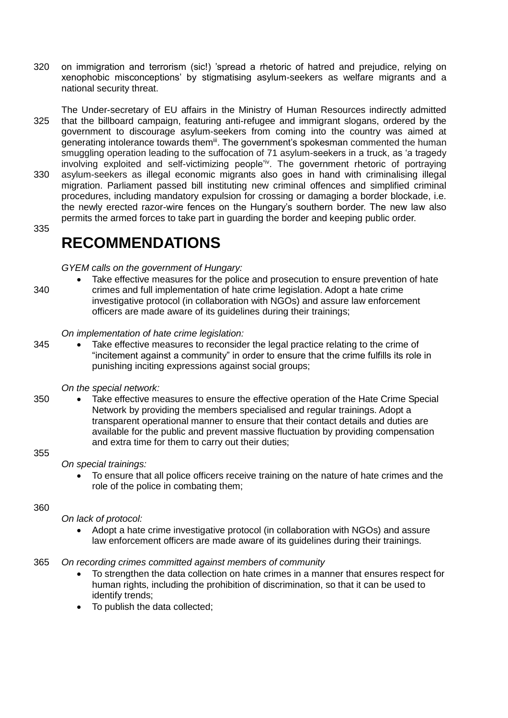320 on immigration and terrorism (sic!) 'spread a rhetoric of hatred and prejudice, relying on xenophobic misconceptions' by stigmatising asylum-seekers as welfare migrants and a national security threat.

The Under-secretary of EU affairs in the Ministry of Human Resources indirectly admitted 325 that the billboard campaign, featuring anti-refugee and immigrant slogans, ordered by the government to discourage asylum-seekers from coming into the country was aimed at generating intolerance towards them<sup>iii</sup>. The government's spokesman commented the human smuggling operation leading to the suffocation of 71 asylum-seekers in a truck, as 'a tragedy involving exploited and self-victimizing people'iv. The government rhetoric of portraying 330 asylum-seekers as illegal economic migrants also goes in hand with criminalising illegal migration. Parliament passed bill instituting new criminal offences and simplified criminal procedures, including mandatory expulsion for crossing or damaging a border blockade, i.e. the newly erected razor-wire fences on the Hungary's southern border. The new law also

permits the armed forces to take part in guarding the border and keeping public order.

335

# **RECOMMENDATIONS**

#### *GYEM calls on the government of Hungary:*

 Take effective measures for the police and prosecution to ensure prevention of hate 340 crimes and full implementation of hate crime legislation. Adopt a hate crime investigative protocol (in collaboration with NGOs) and assure law enforcement officers are made aware of its guidelines during their trainings;

#### *On implementation of hate crime legislation:*

345 • Take effective measures to reconsider the legal practice relating to the crime of "incitement against a community" in order to ensure that the crime fulfills its role in punishing inciting expressions against social groups;

## *On the [special network:](#page-4-0)*

350 Take effective measures to ensure the effective operation of the Hate Crime Special Network by providing the members specialised and regular trainings. Adopt a transparent operational manner to ensure that their contact details and duties are available for the public and prevent massive fluctuation by providing compensation and extra time for them to carry out their duties;

#### 355

## *On special trainings:*

 To ensure that all police officers receive training on the nature of hate crimes and the role of the police in combating them;

#### 360

## *On lack of protocol:*

 Adopt a hate crime investigative protocol (in collaboration with NGOs) and assure law enforcement officers are made aware of its guidelines during their trainings.

## 365 *On recording crimes committed against members of community*

- To strengthen the data collection on hate crimes in a manner that ensures respect for human rights, including the prohibition of discrimination, so that it can be used to identify trends;
- To publish the data collected;